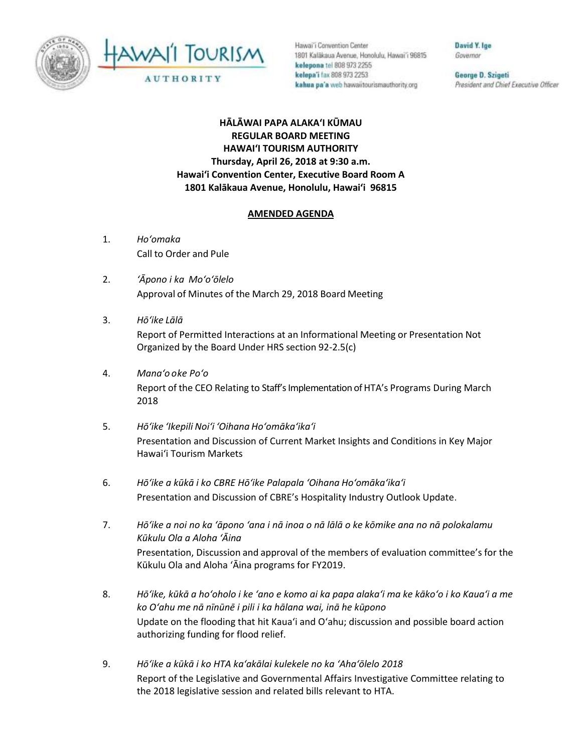



Hawai'i Convention Center 1801 Kalākaua Avenue, Honolulu, Hawai'i 96815 kelepona tel 808 973 2255 kelepa'i fax 808 973 2253 kahua pa'a web hawaiitourismauthority.org

David Y. Ige Governor

George D. Szigeti President and Chief Executive Officer

**HĀLĀWAI PAPA ALAKAʻI KŪMAU REGULAR BOARD MEETING HAWAI'I TOURISM AUTHORITY Thursday, April 26, 2018 at 9:30 a.m. Hawai'i Convention Center, Executive Board Room A 1801 Kalākaua Avenue, Honolulu, Hawai'i 96815**

## **AMENDED AGENDA**

- 1. *Ho'omaka* Call to Order and Pule
- 2. *ʻĀpono i ka Mo'o'ōlelo* Approval of Minutes of the March 29, 2018 Board Meeting
- 3. *Hō'ike Lālā* Report of Permitted Interactions at an Informational Meeting or Presentation Not Organized by the Board Under HRS section 92-2.5(c)
- 4. *Mana'o o ke Poʻo* Report of the CEO Relating to Staff's Implementation of HTA's Programs During March 2018
- 5. *Hō'ike 'Ikepili Noi'i 'Oihana Ho'omāka'ika'i* Presentation and Discussion of Current Market Insights and Conditions in Key Major Hawai'i Tourism Markets
- 6. *Hō'ike a kūkā i ko CBRE Hō'ike Palapala 'Oihana Ho'omāka'ika'i* Presentation and Discussion of CBRE's Hospitality Industry Outlook Update.
- 7. *Hōʻike a noi no ka ʻāpono ʻana i nā inoa o nā lālā o ke kōmike ana no nā polokalamu Kūkulu Ola a Aloha 'Āina*  Presentation, Discussion and approval of the members of evaluation committee's for the Kūkulu Ola and Aloha 'Āina programs for FY2019.
- 8. *Hōʻike, kūkā a hoʻoholo i ke ʻano e komo ai ka papa alakaʻi ma ke kākoʻo i ko Kauaʻi a me ko Oʻahu me nā nīnūnē i pili i ka hālana wai, inā he kūpono* Update on the flooding that hit Kaua'i and O'ahu; discussion and possible board action authorizing funding for flood relief.
- 9. *Hō'ike a kūkā i ko HTA ka'akālai kulekele no ka 'Aha'ōlelo 2018* Report of the Legislative and Governmental Affairs Investigative Committee relating to the 2018 legislative session and related bills relevant to HTA.